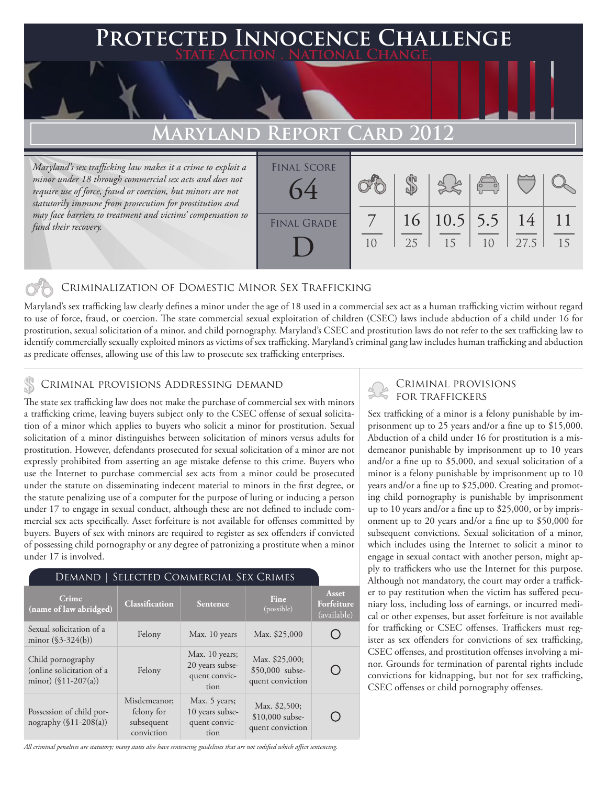## **PED INNOCENCE CHALLENGE State Action . National Change.**

# **MARYLAND REPOR**

*Maryland's sex trafficking law makes it a crime to exploit a minor under 18 through commercial sex acts and does not require use of force, fraud or coercion, but minors are not statutorily immune from prosecution for prostitution and may face barriers to treatment and victims' compensation to fund their recovery.*

| <b>FINAL SCORE</b><br>64 |                |    |                   | $\left(\begin{matrix} 0 & 0 \\ 0 & 0 \end{matrix}\right)$ |            |    |
|--------------------------|----------------|----|-------------------|-----------------------------------------------------------|------------|----|
| <b>FINAL GRADE</b>       | 1 <sub>0</sub> | 25 | 16 10.5 5.5<br>15 | 1 <sub>0</sub>                                            | 14<br>27.5 | 15 |

## Criminalization of Domestic Minor Sex Trafficking

Maryland's sex trafficking law clearly defines a minor under the age of 18 used in a commercial sex act as a human trafficking victim without regard to use of force, fraud, or coercion. The state commercial sexual exploitation of children (CSEC) laws include abduction of a child under 16 for prostitution, sexual solicitation of a minor, and child pornography. Maryland's CSEC and prostitution laws do not refer to the sex trafficking law to identify commercially sexually exploited minors as victims of sex trafficking. Maryland's criminal gang law includes human trafficking and abduction as predicate offenses, allowing use of this law to prosecute sex trafficking enterprises.

# CRIMINAL PROVISIONS ADDRESSING DEMAND<br>FOR TRAFFICKERS

The state sex trafficking law does not make the purchase of commercial sex with minors a trafficking crime, leaving buyers subject only to the CSEC offense of sexual solicitation of a minor which applies to buyers who solicit a minor for prostitution. Sexual solicitation of a minor distinguishes between solicitation of minors versus adults for prostitution. However, defendants prosecuted for sexual solicitation of a minor are not expressly prohibited from asserting an age mistake defense to this crime. Buyers who use the Internet to purchase commercial sex acts from a minor could be prosecuted under the statute on disseminating indecent material to minors in the first degree, or the statute penalizing use of a computer for the purpose of luring or inducing a person under 17 to engage in sexual conduct, although these are not defined to include commercial sex acts specifically. Asset forfeiture is not available for offenses committed by buyers. Buyers of sex with minors are required to register as sex offenders if convicted of possessing child pornography or any degree of patronizing a prostitute when a minor under 17 is involved.

## Demand | Selected Commercial Sex Crimes

| Crime<br>(name of law abridged)                                          | <b>Classification</b>                                  | Sentence                                                   | Fine<br>(possible)                                    | <b>Asset</b><br>Forfeiture<br>(available) |
|--------------------------------------------------------------------------|--------------------------------------------------------|------------------------------------------------------------|-------------------------------------------------------|-------------------------------------------|
| Sexual solicitation of a<br>minor $(\$3-324(b))$                         | Felony                                                 | Max. 10 years                                              | Max. \$25,000                                         |                                           |
| Child pornography<br>(online solicitation of a<br>minor) $(\$11-207(a))$ | Felony                                                 | Max. 10 years;<br>20 years subse-<br>quent convic-<br>tion | Max. \$25,000;<br>\$50,000 subse-<br>quent conviction |                                           |
| Possession of child por-<br>nography $(\$11-208(a))$                     | Misdemeanor;<br>felony for<br>subsequent<br>conviction | Max. 5 years;<br>10 years subse-<br>quent convic-<br>tion  | Max. \$2,500;<br>\$10,000 subse-<br>quent conviction  |                                           |

#### *All criminal penalties are statutory; many states also have sentencing guidelines that are not codified which affect sentencing.*

# Criminal provisions

Sex trafficking of a minor is a felony punishable by imprisonment up to 25 years and/or a fine up to \$15,000. Abduction of a child under 16 for prostitution is a misdemeanor punishable by imprisonment up to 10 years and/or a fine up to \$5,000, and sexual solicitation of a minor is a felony punishable by imprisonment up to 10 years and/or a fine up to \$25,000. Creating and promoting child pornography is punishable by imprisonment up to 10 years and/or a fine up to \$25,000, or by imprisonment up to 20 years and/or a fine up to \$50,000 for subsequent convictions. Sexual solicitation of a minor, which includes using the Internet to solicit a minor to engage in sexual contact with another person, might apply to traffickers who use the Internet for this purpose. Although not mandatory, the court may order a trafficker to pay restitution when the victim has suffered pecuniary loss, including loss of earnings, or incurred medical or other expenses, but asset forfeiture is not available for trafficking or CSEC offenses. Traffickers must register as sex offenders for convictions of sex trafficking, CSEC offenses, and prostitution offenses involving a minor. Grounds for termination of parental rights include convictions for kidnapping, but not for sex trafficking, CSEC offenses or child pornography offenses.